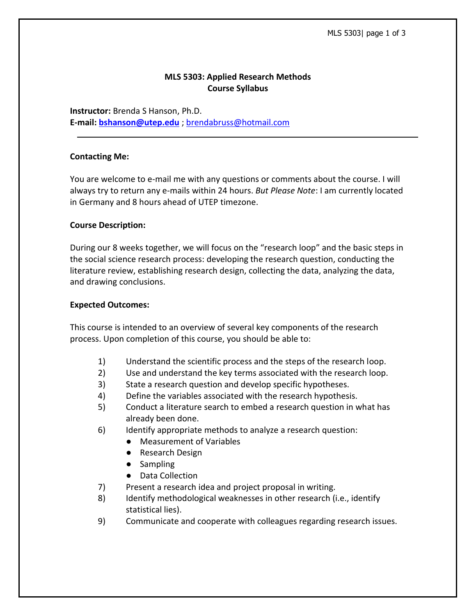# **MLS 5303: Applied Research Methods Course Syllabus**

**Instructor:** Brenda S Hanson, Ph.D. **E-mail: [bshanson@utep.edu](mailto:bshanson@utep.edu)** ; [brendabruss@hotmail.com](mailto:brendabruss@hotmail.com)

### **Contacting Me:**

You are welcome to e-mail me with any questions or comments about the course. I will always try to return any e-mails within 24 hours. *But Please Note*: I am currently located in Germany and 8 hours ahead of UTEP timezone.

### **Course Description:**

During our 8 weeks together, we will focus on the "research loop" and the basic steps in the social science research process: developing the research question, conducting the literature review, establishing research design, collecting the data, analyzing the data, and drawing conclusions.

#### **Expected Outcomes:**

This course is intended to an overview of several key components of the research process. Upon completion of this course, you should be able to:

- 1) Understand the scientific process and the steps of the research loop.
- 2) Use and understand the key terms associated with the research loop.
- 3) State a research question and develop specific hypotheses.
- 4) Define the variables associated with the research hypothesis.
- 5) Conduct a literature search to embed a research question in what has already been done.
- 6) Identify appropriate methods to analyze a research question:
	- Measurement of Variables
	- Research Design
	- Sampling
	- Data Collection
- 7) Present a research idea and project proposal in writing.
- 8) Identify methodological weaknesses in other research (i.e., identify statistical lies).
- 9) Communicate and cooperate with colleagues regarding research issues.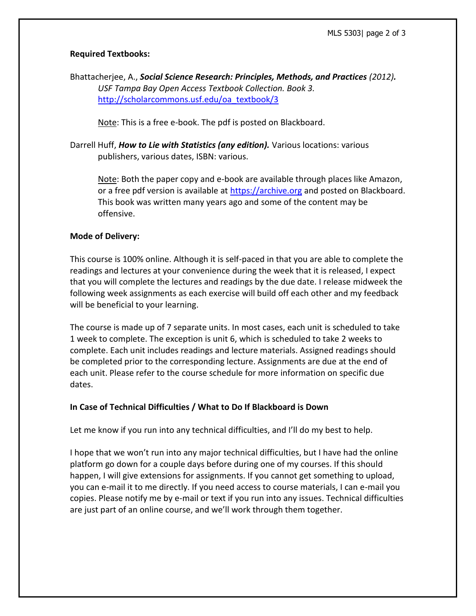# **Required Textbooks:**

Bhattacherjee, A., *Social Science Research: Principles, Methods, and Practices (2012). USF Tampa Bay Open Access Textbook Collection. Book 3.* [http://scholarcommons.usf.edu/oa\\_textbook/3](http://scholarcommons.usf.edu/oa_textbook/3)

Note: This is a free e-book. The pdf is posted on Blackboard.

Darrell Huff, *How to Lie with Statistics (any edition).* Various locations: various publishers, various dates, ISBN: various.

Note: Both the paper copy and e-book are available through places like Amazon, or a free pdf version is available at [https://archive.org](https://archive.org/) and posted on Blackboard. This book was written many years ago and some of the content may be offensive.

## **Mode of Delivery:**

This course is 100% online. Although it is self-paced in that you are able to complete the readings and lectures at your convenience during the week that it is released, I expect that you will complete the lectures and readings by the due date. I release midweek the following week assignments as each exercise will build off each other and my feedback will be beneficial to your learning.

The course is made up of 7 separate units. In most cases, each unit is scheduled to take 1 week to complete. The exception is unit 6, which is scheduled to take 2 weeks to complete. Each unit includes readings and lecture materials. Assigned readings should be completed prior to the corresponding lecture. Assignments are due at the end of each unit. Please refer to the course schedule for more information on specific due dates.

# **In Case of Technical Difficulties / What to Do If Blackboard is Down**

Let me know if you run into any technical difficulties, and I'll do my best to help.

I hope that we won't run into any major technical difficulties, but I have had the online platform go down for a couple days before during one of my courses. If this should happen, I will give extensions for assignments. If you cannot get something to upload, you can e-mail it to me directly. If you need access to course materials, I can e-mail you copies. Please notify me by e-mail or text if you run into any issues. Technical difficulties are just part of an online course, and we'll work through them together.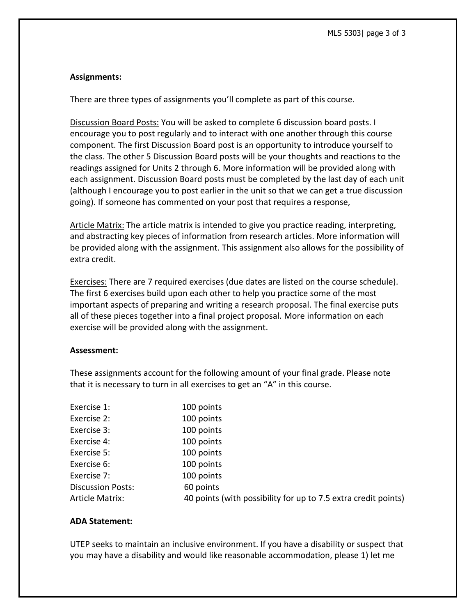## **Assignments:**

There are three types of assignments you'll complete as part of this course.

Discussion Board Posts: You will be asked to complete 6 discussion board posts. I encourage you to post regularly and to interact with one another through this course component. The first Discussion Board post is an opportunity to introduce yourself to the class. The other 5 Discussion Board posts will be your thoughts and reactions to the readings assigned for Units 2 through 6. More information will be provided along with each assignment. Discussion Board posts must be completed by the last day of each unit (although I encourage you to post earlier in the unit so that we can get a true discussion going). If someone has commented on your post that requires a response,

Article Matrix: The article matrix is intended to give you practice reading, interpreting, and abstracting key pieces of information from research articles. More information will be provided along with the assignment. This assignment also allows for the possibility of extra credit.

Exercises: There are 7 required exercises (due dates are listed on the course schedule). The first 6 exercises build upon each other to help you practice some of the most important aspects of preparing and writing a research proposal. The final exercise puts all of these pieces together into a final project proposal. More information on each exercise will be provided along with the assignment.

#### **Assessment:**

These assignments account for the following amount of your final grade. Please note that it is necessary to turn in all exercises to get an "A" in this course.

| Exercise 1:              | 100 points                                                     |
|--------------------------|----------------------------------------------------------------|
| Exercise 2:              | 100 points                                                     |
| Exercise 3:              | 100 points                                                     |
| Exercise 4:              | 100 points                                                     |
| Exercise 5:              | 100 points                                                     |
| Exercise 6:              | 100 points                                                     |
| Exercise 7:              | 100 points                                                     |
| <b>Discussion Posts:</b> | 60 points                                                      |
| <b>Article Matrix:</b>   | 40 points (with possibility for up to 7.5 extra credit points) |
|                          |                                                                |

## **ADA Statement:**

UTEP seeks to maintain an inclusive environment. If you have a disability or suspect that you may have a disability and would like reasonable accommodation, please 1) let me